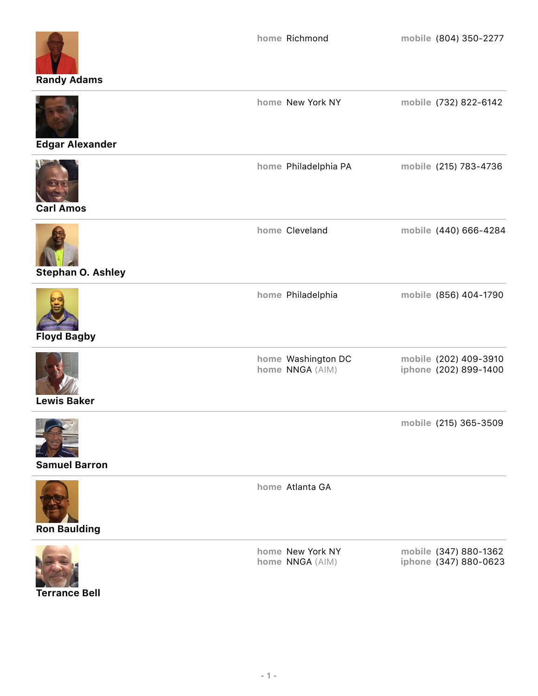

**Edgar Alexander**

| <b>Carl Amos</b>         | home Philadelphia PA                  | mobile (215) 783-4736                          |
|--------------------------|---------------------------------------|------------------------------------------------|
| <b>Stephan O. Ashley</b> | home Cleveland                        | mobile (440) 666-4284                          |
| <b>Floyd Bagby</b>       | home Philadelphia                     | mobile (856) 404-1790                          |
| <b>Lewis Baker</b>       | home Washington DC<br>home NNGA (AIM) | mobile (202) 409-3910<br>iphone (202) 899-1400 |
| <b>Samuel Barron</b>     |                                       | mobile (215) 365-3509                          |
| <b>Ron Baulding</b>      | home Atlanta GA                       |                                                |
|                          | home New York NY<br>home NNGA (AIM)   | mobile (347) 880-1362<br>iphone (347) 880-0623 |

**Terrance Bell**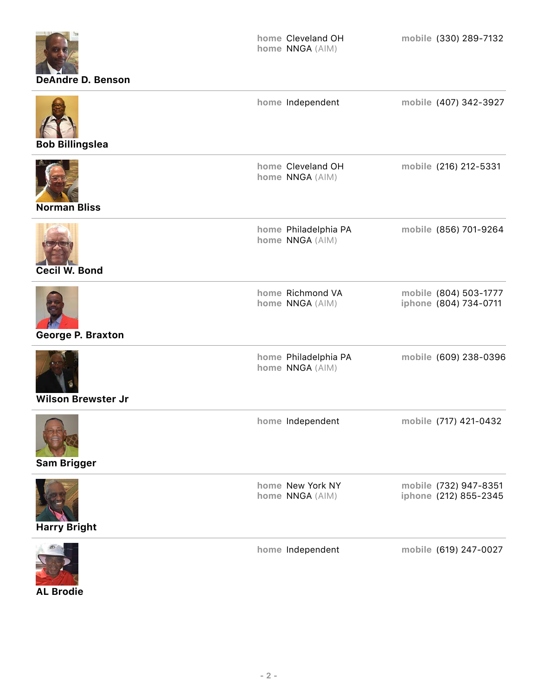| <b>DeAndre D. Benson</b>  | home Cleveland OH<br>home NNGA (AIM)    | mobile (330) 289-7132                          |
|---------------------------|-----------------------------------------|------------------------------------------------|
| <b>Bob Billingslea</b>    | home Independent                        | mobile (407) 342-3927                          |
| <b>Norman Bliss</b>       | home Cleveland OH<br>home NNGA (AIM)    | mobile (216) 212-5331                          |
| Cecil W. Bond             | home Philadelphia PA<br>home NNGA (AIM) | mobile (856) 701-9264                          |
| George P. Braxton         | home Richmond VA<br>home NNGA (AIM)     | mobile (804) 503-1777<br>iphone (804) 734-0711 |
| <b>Wilson Brewster Jr</b> | home Philadelphia PA<br>home NNGA (AIM) | mobile (609) 238-0396                          |
| <b>Sam Brigger</b>        | home Independent                        | mobile (717) 421-0432                          |
| <b>Harry Bright</b>       | home New York NY<br>home NNGA (AIM)     | mobile (732) 947-8351<br>iphone (212) 855-2345 |
|                           | home Independent                        | mobile (619) 247-0027                          |

**AL Brodie**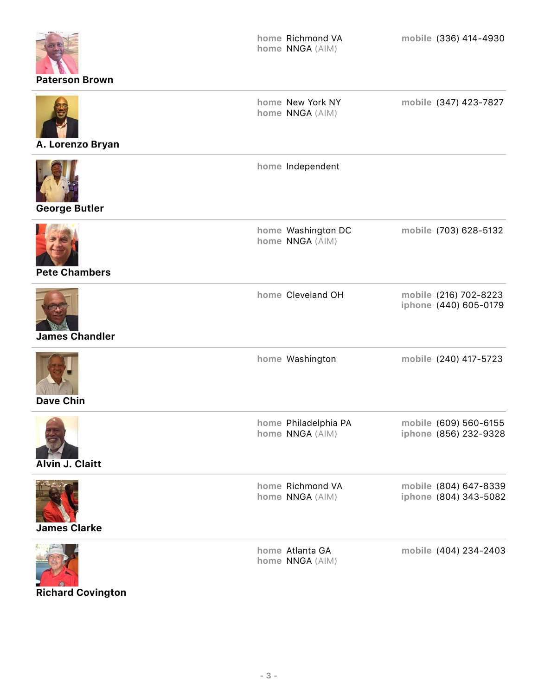| <b>Paterson Brown</b> | home Richmond VA<br>home NNGA (AIM)     | mobile (336) 414-4930                          |
|-----------------------|-----------------------------------------|------------------------------------------------|
| A. Lorenzo Bryan      | home New York NY<br>home NNGA (AIM)     | mobile (347) 423-7827                          |
| <b>George Butler</b>  | home Independent                        |                                                |
| <b>Pete Chambers</b>  | home Washington DC<br>home NNGA (AIM)   | mobile (703) 628-5132                          |
| <b>James Chandler</b> | home Cleveland OH                       | mobile (216) 702-8223<br>iphone (440) 605-0179 |
| <b>Dave Chin</b>      | home Washington                         | mobile (240) 417-5723                          |
| Alvin J. Claitt       | home Philadelphia PA<br>home NNGA (AIM) | mobile (609) 560-6155<br>iphone (856) 232-9328 |
| <b>James Clarke</b>   | home Richmond VA<br>home NNGA (AIM)     | mobile (804) 647-8339<br>iphone (804) 343-5082 |
|                       | home Atlanta GA<br>home NNGA (AIM)      | mobile (404) 234-2403                          |

**Richard Covington**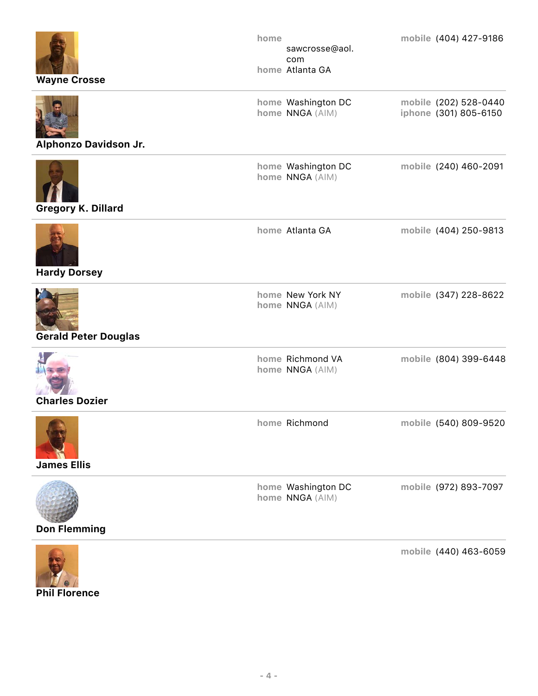| <b>Wayne Crosse</b>         | home<br>sawcrosse@aol.<br>com<br>home Atlanta GA | mobile (404) 427-9186                          |
|-----------------------------|--------------------------------------------------|------------------------------------------------|
| Alphonzo Davidson Jr.       | home Washington DC<br>home NNGA (AIM)            | mobile (202) 528-0440<br>iphone (301) 805-6150 |
| <b>Gregory K. Dillard</b>   | home Washington DC<br>home NNGA (AIM)            | mobile (240) 460-2091                          |
| <b>Hardy Dorsey</b>         | home Atlanta GA                                  | mobile (404) 250-9813                          |
| <b>Gerald Peter Douglas</b> | home New York NY<br>home NNGA (AIM)              | mobile (347) 228-8622                          |
| <b>Charles Dozier</b>       | home Richmond VA<br>home NNGA (AIM)              | mobile (804) 399-6448                          |
| <b>James Ellis</b>          | home Richmond                                    | mobile (540) 809-9520                          |
| <b>Don Flemming</b>         | home Washington DC<br>home NNGA (AIM)            | mobile (972) 893-7097                          |
|                             |                                                  | mobile (440) 463-6059                          |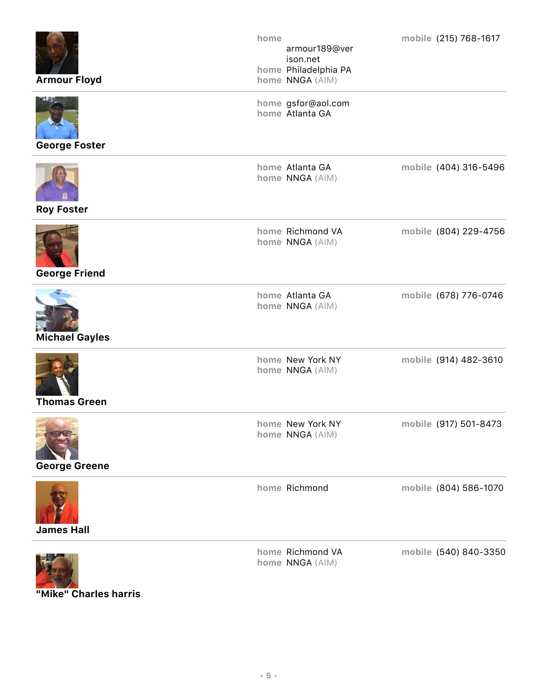| <b>Armour Floyd</b>                                 | home<br>armour189@ver<br>ison.net<br>home Philadelphia PA<br>home NNGA (AIM) | mobile (215) 768-1617 |
|-----------------------------------------------------|------------------------------------------------------------------------------|-----------------------|
| <b>George Foster</b>                                | home gsfor@aol.com<br>home Atlanta GA                                        |                       |
| <b>Roy Foster</b>                                   | home Atlanta GA<br>home NNGA (AIM)                                           | mobile (404) 316-5496 |
| <b>George Friend</b>                                | home Richmond VA<br>home NNGA (AIM)                                          | mobile (804) 229-4756 |
| <b>Michael Gayles</b>                               | home Atlanta GA<br>home NNGA (AIM)                                           | mobile (678) 776-0746 |
| <b>Thomas Green</b>                                 | home New York NY<br>home NNGA (AIM)                                          | mobile (914) 482-3610 |
| <b>Commence of Contract</b><br><b>George Greene</b> | home New York NY<br>home NNGA (AIM)                                          | mobile (917) 501-8473 |
| <b>James Hall</b>                                   | home Richmond                                                                | mobile (804) 586-1070 |
|                                                     | home Richmond VA<br>home NNGA (AIM)                                          | mobile (540) 840-3350 |

**"Mike" Charles harris**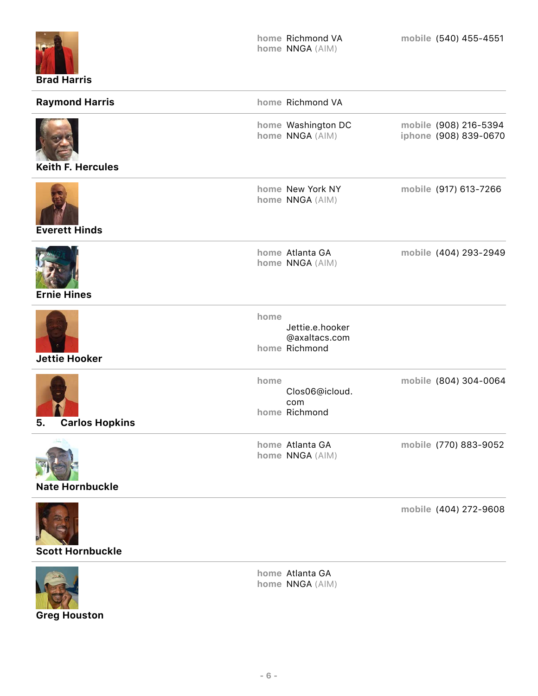| <b>Brad Harris</b>          |      | home Richmond VA<br>home NNGA (AIM)               | mobile (540) 455-4551                          |
|-----------------------------|------|---------------------------------------------------|------------------------------------------------|
| <b>Raymond Harris</b>       |      | home Richmond VA                                  |                                                |
| <b>Keith F. Hercules</b>    |      | home Washington DC<br>home NNGA (AIM)             | mobile (908) 216-5394<br>iphone (908) 839-0670 |
| <b>Everett Hinds</b>        |      | home New York NY<br>home NNGA (AIM)               | mobile (917) 613-7266                          |
| <b>Ernie Hines</b>          |      | home Atlanta GA<br>home NNGA (AIM)                | mobile (404) 293-2949                          |
| <b>Jettie Hooker</b>        | home | Jettie.e.hooker<br>@axaltacs.com<br>home Richmond |                                                |
| <b>Carlos Hopkins</b><br>ວ. | home | Clos06@icloud.<br>com<br>home Richmond            | mobile (804) 304-0064                          |
| <b>Nate Hornbuckle</b>      |      | home Atlanta GA<br>home NNGA (AIM)                | mobile (770) 883-9052                          |
| <b>Scott Hornbuckle</b>     |      |                                                   | mobile (404) 272-9608                          |



**Greg Houston**

**home** Atlanta GA **home** NNGA (AIM)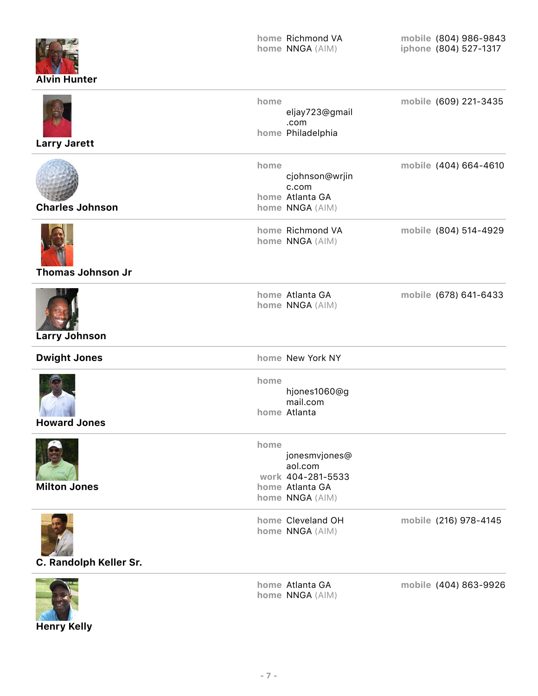| <b>Alvin Hunter</b> |
|---------------------|

| <b>Larry Jarett</b>      | home | eljay723@gmail<br>.com<br>home Philadelphia                                         | mobile (609) 221-3435 |
|--------------------------|------|-------------------------------------------------------------------------------------|-----------------------|
| <b>Charles Johnson</b>   | home | cjohnson@wrjin<br>c.com<br>home Atlanta GA<br>home NNGA (AIM)                       | mobile (404) 664-4610 |
| <b>Thomas Johnson Jr</b> |      | home Richmond VA<br>home NNGA (AIM)                                                 | mobile (804) 514-4929 |
| <b>Larry Johnson</b>     |      | home Atlanta GA<br>home NNGA (AIM)                                                  | mobile (678) 641-6433 |
| <b>Dwight Jones</b>      |      | home New York NY                                                                    |                       |
| <b>Howard Jones</b>      | home | hjones1060@g<br>mail.com<br>home Atlanta                                            |                       |
| <b>Milton Jones</b>      | home | jonesmvjones@<br>aol.com<br>work 404-281-5533<br>home Atlanta GA<br>home NNGA (AIM) |                       |
| C. Randolph Keller Sr.   |      | home Cleveland OH<br>home NNGA (AIM)                                                | mobile (216) 978-4145 |
|                          |      | home Atlanta GA<br>home NNGA (AIM)                                                  | mobile (404) 863-9926 |

**Henry Kelly**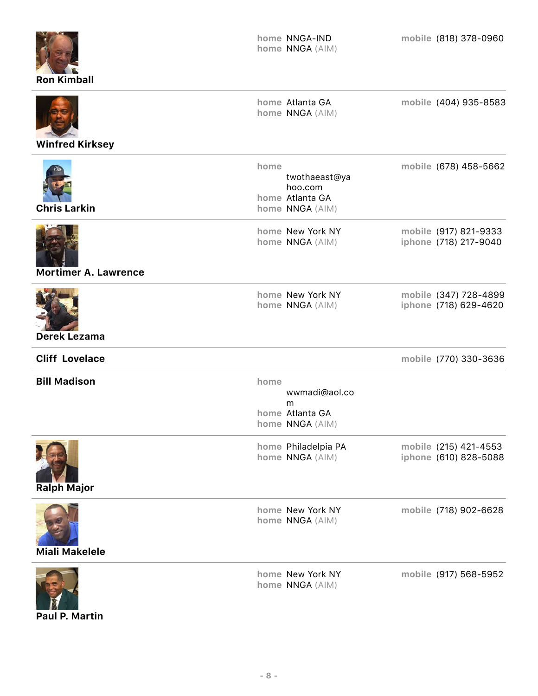| <b>Ron Kimball</b>          |      | home NNGA-IND<br>home NNGA (AIM)                               | mobile (818) 378-0960                          |
|-----------------------------|------|----------------------------------------------------------------|------------------------------------------------|
| <b>Winfred Kirksey</b>      |      | home Atlanta GA<br>home NNGA (AIM)                             | mobile (404) 935-8583                          |
| <b>Chris Larkin</b>         | home | twothaeast@ya<br>hoo.com<br>home Atlanta GA<br>home NNGA (AIM) | mobile (678) 458-5662                          |
| <b>Mortimer A. Lawrence</b> |      | home New York NY<br>home NNGA (AIM)                            | mobile (917) 821-9333<br>iphone (718) 217-9040 |
| <b>Derek Lezama</b>         |      | home New York NY<br>home NNGA (AIM)                            | mobile (347) 728-4899<br>iphone (718) 629-4620 |
| <b>Cliff Lovelace</b>       |      |                                                                | mobile (770) 330-3636                          |
| <b>Bill Madison</b>         | home | wwmadi@aol.co<br>m<br>home Atlanta GA<br>home NNGA (AIM)       |                                                |
| <b>Ralph Major</b>          |      | home Philadelpia PA<br>home NNGA (AIM)                         | mobile (215) 421-4553<br>iphone (610) 828-5088 |
| <b>Miali Makelele</b>       |      | home New York NY<br>home NNGA (AIM)                            | mobile (718) 902-6628                          |
|                             |      | home New York NY<br>home NNGA (AIM)                            | mobile (917) 568-5952                          |

**Paul P. Martin**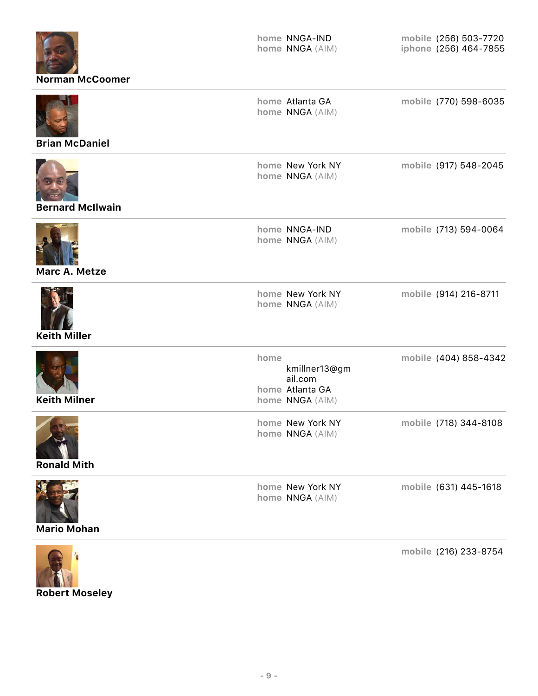| <b>Norman McCoomer</b>  | home NNGA-IND<br>home NNGA (AIM)                                       | mobile (256) 503-7720<br>iphone (256) 464-7855 |
|-------------------------|------------------------------------------------------------------------|------------------------------------------------|
| <b>Brian McDaniel</b>   | home Atlanta GA<br>home NNGA (AIM)                                     | mobile (770) 598-6035                          |
| <b>Bernard McIlwain</b> | home New York NY<br>home NNGA (AIM)                                    | mobile (917) 548-2045                          |
| Marc A. Metze           | home NNGA-IND<br>home NNGA (AIM)                                       | mobile (713) 594-0064                          |
| <b>Keith Miller</b>     | home New York NY<br>home NNGA (AIM)                                    | mobile (914) 216-8711                          |
| <b>Keith Milner</b>     | home<br>kmillner13@gm<br>ail.com<br>home Atlanta GA<br>home NNGA (AIM) | mobile (404) 858-4342                          |
| <b>Ronald Mith</b>      | home New York NY<br>home NNGA (AIM)                                    | mobile (718) 344-8108                          |
| <b>Mario Mohan</b>      | home New York NY<br>home NNGA (AIM)                                    | mobile (631) 445-1618                          |
|                         |                                                                        | mobile $(216)$ $233 - 8754$                    |



**mobile** (216) 233-8754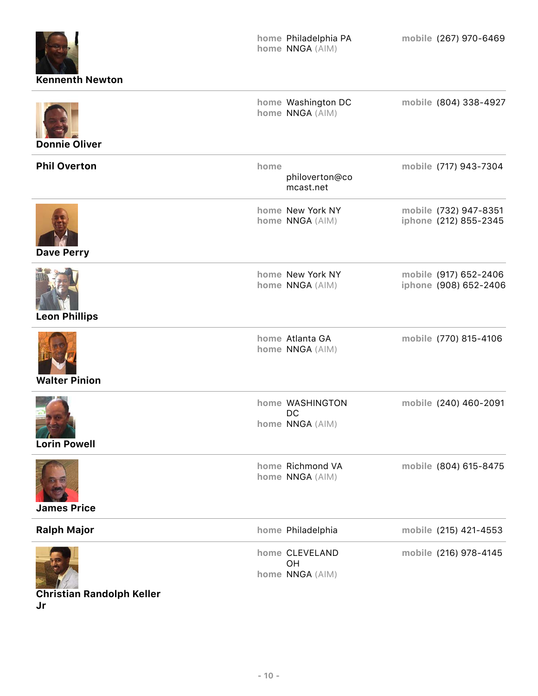| <b>Kennenth Newton</b> |      | home Philadelphia PA<br>home NNGA (AIM)  | mobile (267) 970-6469                          |
|------------------------|------|------------------------------------------|------------------------------------------------|
| <b>Donnie Oliver</b>   |      | home Washington DC<br>home NNGA (AIM)    | mobile (804) 338-4927                          |
| <b>Phil Overton</b>    | home | philoverton@co<br>mcast.net              | mobile (717) 943-7304                          |
| <b>Dave Perry</b>      |      | home New York NY<br>home NNGA (AIM)      | mobile (732) 947-8351<br>iphone (212) 855-2345 |
| <b>Leon Phillips</b>   |      | home New York NY<br>home NNGA (AIM)      | mobile (917) 652-2406<br>iphone (908) 652-2406 |
| <b>Walter Pinion</b>   |      | home Atlanta GA<br>home NNGA (AIM)       | mobile (770) 815-4106                          |
| <b>Lorin Powell</b>    |      | home WASHINGTON<br>DC<br>home NNGA (AIM) | mobile (240) 460-2091                          |
| <b>James Price</b>     |      | home Richmond VA<br>home NNGA (AIM)      | mobile (804) 615-8475                          |
| <b>Ralph Major</b>     |      | home Philadelphia                        | mobile (215) 421-4553                          |
|                        |      | home CLEVELAND<br>OH<br>home NNGA (AIM)  | mobile (216) 978-4145                          |

**Christian Randolph Keller Jr**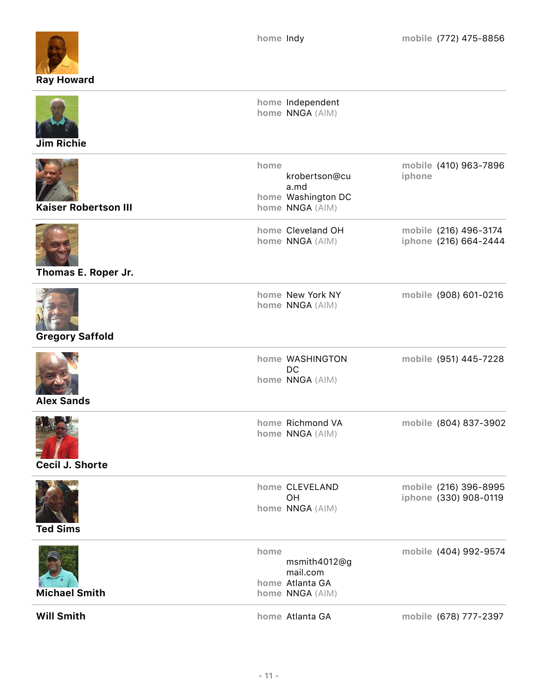

| <b>Jim Richie</b>           | home Independent<br>home NNGA (AIM)                                    |                                                |
|-----------------------------|------------------------------------------------------------------------|------------------------------------------------|
| <b>Kaiser Robertson III</b> | home<br>krobertson@cu<br>a.md<br>home Washington DC<br>home NNGA (AIM) | mobile (410) 963-7896<br>iphone                |
| Thomas E. Roper Jr.         | home Cleveland OH<br>home NNGA (AIM)                                   | mobile (216) 496-3174<br>iphone (216) 664-2444 |
| <b>Gregory Saffold</b>      | home New York NY<br>home NNGA (AIM)                                    | mobile (908) 601-0216                          |
| <b>Alex Sands</b>           | home WASHINGTON<br>DC<br>home NNGA (AIM)                               | mobile (951) 445-7228                          |
| Cecil J. Shorte             | home Richmond VA<br>home NNGA (AIM)                                    | mobile (804) 837-3902                          |
| <b>Ted Sims</b>             | home CLEVELAND<br>OH<br>home NNGA (AIM)                                | mobile (216) 396-8995<br>iphone (330) 908-0119 |
| <b>Michael Smith</b>        | home<br>msmith4012@g<br>mail.com<br>home Atlanta GA<br>home NNGA (AIM) | mobile (404) 992-9574                          |
| <b>Will Smith</b>           | home Atlanta GA                                                        | mobile (678) 777-2397                          |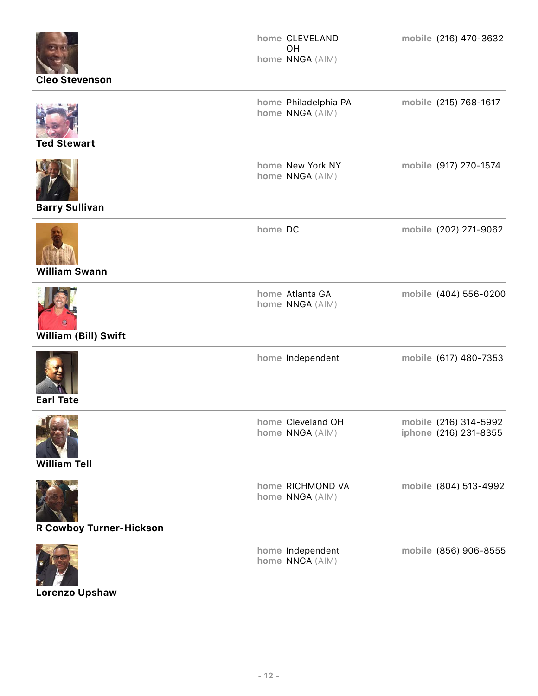| <b>Cleo Stevenson</b>                     | home CLEVELAND<br>OH<br>home NNGA (AIM) | mobile (216) 470-3632                          |
|-------------------------------------------|-----------------------------------------|------------------------------------------------|
| <b>Ted Stewart</b>                        | home Philadelphia PA<br>home NNGA (AIM) | mobile (215) 768-1617                          |
| <b>Barry Sullivan</b>                     | home New York NY<br>home NNGA (AIM)     | mobile (917) 270-1574                          |
| <b>William Swann</b>                      | home DC                                 | mobile (202) 271-9062                          |
| William (Bill) Swift                      | home Atlanta GA<br>home NNGA (AIM)      | mobile (404) 556-0200                          |
| <b>Earl Tate</b>                          | home Independent                        | mobile (617) 480-7353                          |
| <b>DESCRIPTION</b><br><b>William Tell</b> | home Cleveland OH<br>home NNGA (AIM)    | mobile (216) 314-5992<br>iphone (216) 231-8355 |
| <b>R Cowboy Turner-Hickson</b>            | home RICHMOND VA<br>home NNGA (AIM)     | mobile (804) 513-4992                          |
|                                           | home Independent<br>home NNGA (AIM)     | mobile (856) 906-8555                          |

**Lorenzo Upshaw**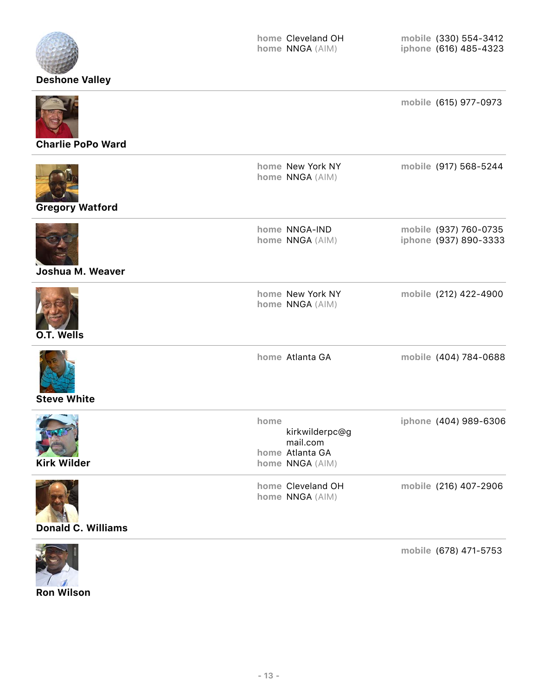

## **Donald C. Williams**



**mobile** (678) 471-5753

**Ron Wilson**